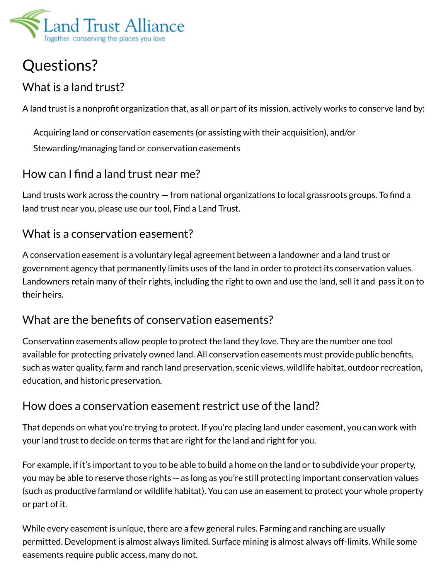

# Questions?

# What is a land trust?

A land trust is a nonprofit organization that, as all or part of its mission, actively works to conserve land by:

Acquiring land or conservation easements (or assisting with their acquisition), and/or

Stewarding/managing land or conservation easements

# How can I find a land trust near me?

Land trusts work across the country  $-$  from national organizations to local grassroots groups. To find a land trust near you, please use our tool, Find a Land Trust.

#### What is a conservation easement?

A conservation easement is a voluntary legal agreement between a landowner and a land trust or government agency that permanently limits uses of the land in order to protect its conservation values. Landowners retain many of their rights, including the right to own and use the land, sell it and pass it on to their heirs.

# What are the benefits of conservation easements?

Conservation easements allow people to protect the land they love. They are the number one tool available for protecting privately owned land. All conservation easements must provide public benefits, such as water quality, farm and ranch land preservation, scenic views, wildlife habitat, outdoor recreation, education, and historic preservation.

# How does a conservation easement restrict use of the land?

That depends on what you're trying to protect. If you're placing land under easement, you can work with your land trust to decide on terms that are right for the land and right for you.

For example, if it's important to you to be able to build a home on the land or to subdivide your property, you may be able to reserve those rights -- as long as you're still protecting important conservation values (such as productive farmland or wildlife habitat). You can use an easement to protect your whole property or part of it.

While every easement is unique, there are a few general rules. Farming and ranching are usually permitted. Development is almost always limited. Surface mining is almost always off-limits. While some easements require public access, many do not.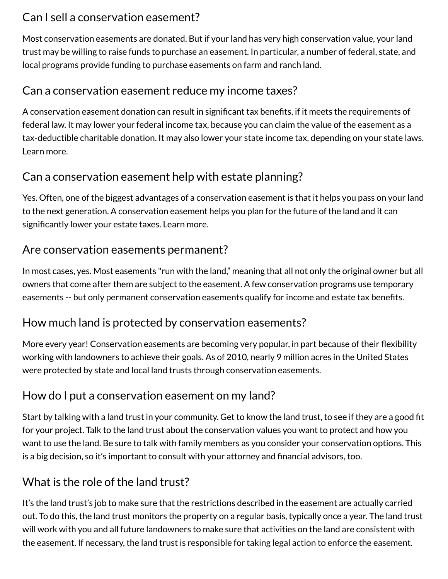# Can I sell a conservation easement?

Most conservation easements are donated. But if your land has very high conservation value, your land trust may be willing to raise funds to purchase an easement. In particular, a number of federal, state, and local programs provide funding to purchase easements on farm and ranch land.

#### Can a conservation easement reduce my income taxes?

A conservation easement donation can result in significant tax benefits, if it meets the requirements of federal law. It may lower your federal income tax, because you can claim the value of the easement as a tax-deductible charitable donation. It may also lower your state income tax, depending on your state laws. Learn more.

# Can a conservation easement help with estate planning?

Yes. Often, one of the biggest advantages of a conservation easement is that it helps you pass on your land to the next generation. A conservation easement helps you plan for the future of the land and it can significantly lower your estate taxes. Learn more.

# Are conservation easements permanent?

In most cases, yes. Most easements "run with the land," meaning that all not only the original owner but all owners that come after them are subject to the easement. A few conservation programs use temporary easements -- but only permanent conservation easements qualify for income and estate tax benefits.

# How much land is protected by conservation easements?

More every year! Conservation easements are becoming very popular, in part because of their flexibility working with landowners to achieve their goals. As of 2010, nearly 9 million acres in the United States were protected by state and local land trusts through conservation easements.

# How do I put a conservation easement on my land?

Start by talking with a land trust in your community. Get to know the land trust, to see if they are a good fit for your project. Talk to the land trust about the conservation values you want to protect and how you want to use the land. Be sure to talk with family members as you consider your conservation options. This is a big decision, so it's important to consult with your attorney and financial advisors, too.

# What is the role of the land trust?

It's the land trust's job to make sure that the restrictions described in the easement are actually carried out. To do this, the land trust monitors the property on a regular basis, typically once a year. The land trust will work with you and all future landowners to make sure that activities on the land are consistent with the easement. If necessary, the land trust is responsible for taking legal action to enforce the easement.